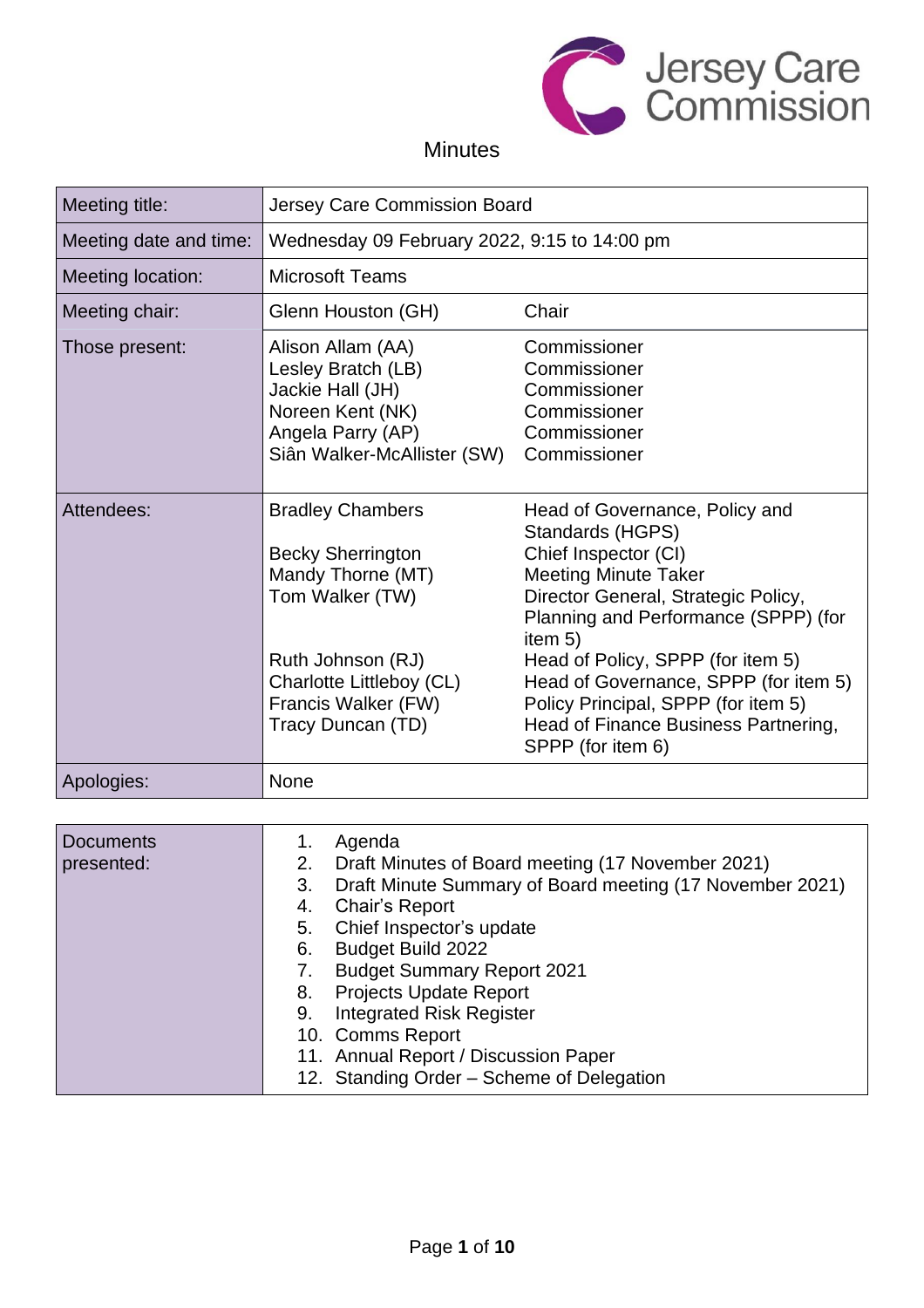

# Minutes

| Meeting title:                 | Jersey Care Commission Board                                                                                                                                                                                                                                                                                                       |                                                                                                                                                                                                                                                                                                                                                                                       |
|--------------------------------|------------------------------------------------------------------------------------------------------------------------------------------------------------------------------------------------------------------------------------------------------------------------------------------------------------------------------------|---------------------------------------------------------------------------------------------------------------------------------------------------------------------------------------------------------------------------------------------------------------------------------------------------------------------------------------------------------------------------------------|
| Meeting date and time:         | Wednesday 09 February 2022, 9:15 to 14:00 pm                                                                                                                                                                                                                                                                                       |                                                                                                                                                                                                                                                                                                                                                                                       |
| Meeting location:              | <b>Microsoft Teams</b>                                                                                                                                                                                                                                                                                                             |                                                                                                                                                                                                                                                                                                                                                                                       |
| Meeting chair:                 | Glenn Houston (GH)                                                                                                                                                                                                                                                                                                                 | Chair                                                                                                                                                                                                                                                                                                                                                                                 |
| Those present:                 | Alison Allam (AA)<br>Lesley Bratch (LB)<br>Jackie Hall (JH)<br>Noreen Kent (NK)<br>Angela Parry (AP)<br>Siân Walker-McAllister (SW)                                                                                                                                                                                                | Commissioner<br>Commissioner<br>Commissioner<br>Commissioner<br>Commissioner<br>Commissioner                                                                                                                                                                                                                                                                                          |
| Attendees:                     | <b>Bradley Chambers</b><br><b>Becky Sherrington</b><br>Mandy Thorne (MT)<br>Tom Walker (TW)<br>Ruth Johnson (RJ)<br>Charlotte Littleboy (CL)<br>Francis Walker (FW)<br>Tracy Duncan (TD)                                                                                                                                           | Head of Governance, Policy and<br>Standards (HGPS)<br>Chief Inspector (CI)<br><b>Meeting Minute Taker</b><br>Director General, Strategic Policy,<br>Planning and Performance (SPPP) (for<br>item 5)<br>Head of Policy, SPPP (for item 5)<br>Head of Governance, SPPP (for item 5)<br>Policy Principal, SPPP (for item 5)<br>Head of Finance Business Partnering,<br>SPPP (for item 6) |
| Apologies:                     | None                                                                                                                                                                                                                                                                                                                               |                                                                                                                                                                                                                                                                                                                                                                                       |
| <b>Documents</b><br>presented: | Agenda<br>1.<br>2.                                                                                                                                                                                                                                                                                                                 | Draft Minutes of Board meeting (17 November 2021)                                                                                                                                                                                                                                                                                                                                     |
|                                | 3.<br><b>Chair's Report</b><br>4.<br>Chief Inspector's update<br>5.<br>Budget Build 2022<br>6.<br><b>Budget Summary Report 2021</b><br>7.<br><b>Projects Update Report</b><br>8.<br><b>Integrated Risk Register</b><br>9.<br>10. Comms Report<br>11. Annual Report / Discussion Paper<br>12. Standing Order - Scheme of Delegation | Draft Minute Summary of Board meeting (17 November 2021)                                                                                                                                                                                                                                                                                                                              |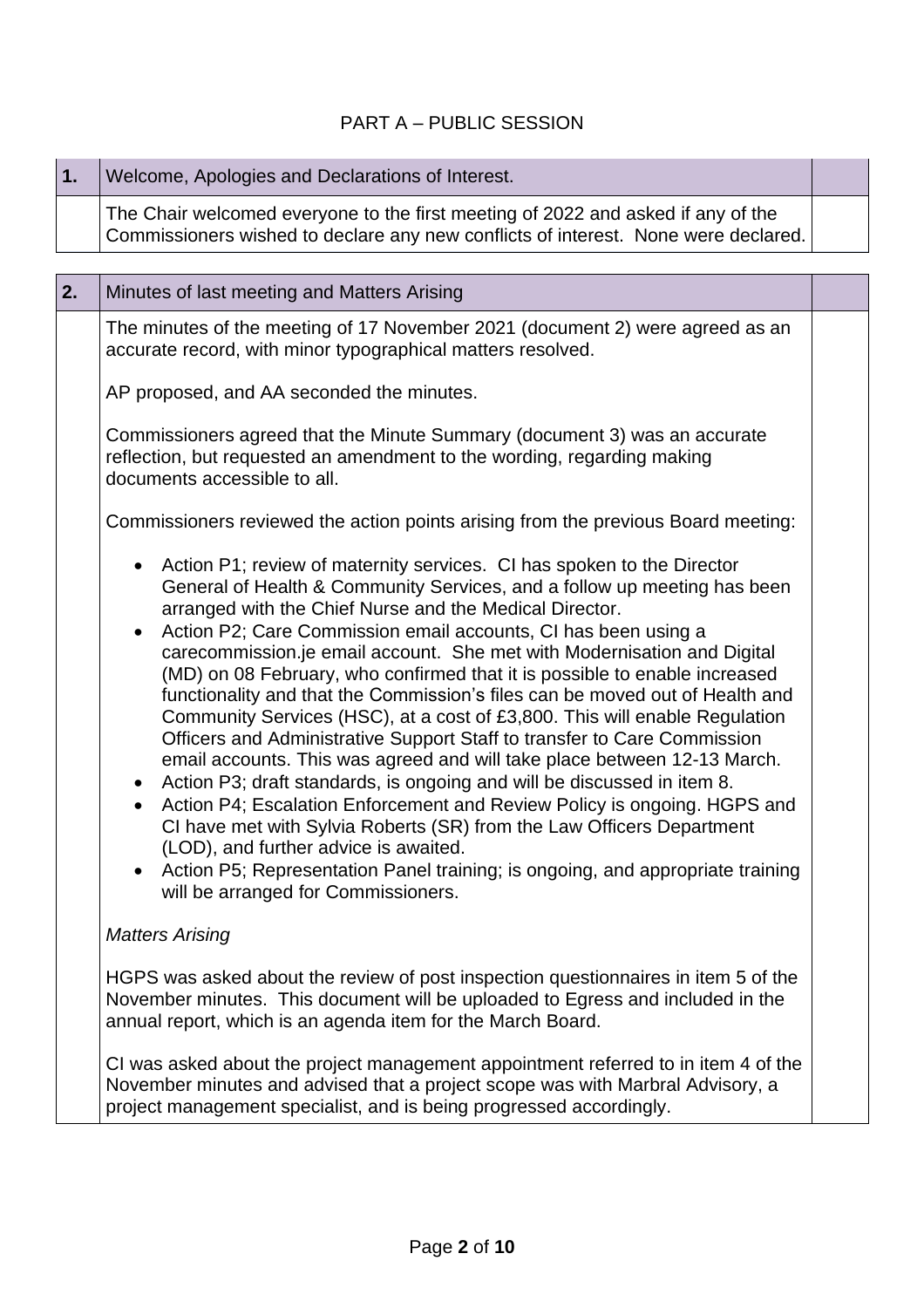## PART A – PUBLIC SESSION

| 1. | Welcome, Apologies and Declarations of Interest.                                                                                                                                                                                                                                                                                                                                                                                                                                                                                                                                                                                                                                                                                                                                                                                                                                                                                                                                                                                                                                                                                                                                                        |  |
|----|---------------------------------------------------------------------------------------------------------------------------------------------------------------------------------------------------------------------------------------------------------------------------------------------------------------------------------------------------------------------------------------------------------------------------------------------------------------------------------------------------------------------------------------------------------------------------------------------------------------------------------------------------------------------------------------------------------------------------------------------------------------------------------------------------------------------------------------------------------------------------------------------------------------------------------------------------------------------------------------------------------------------------------------------------------------------------------------------------------------------------------------------------------------------------------------------------------|--|
|    | The Chair welcomed everyone to the first meeting of 2022 and asked if any of the<br>Commissioners wished to declare any new conflicts of interest. None were declared.                                                                                                                                                                                                                                                                                                                                                                                                                                                                                                                                                                                                                                                                                                                                                                                                                                                                                                                                                                                                                                  |  |
|    |                                                                                                                                                                                                                                                                                                                                                                                                                                                                                                                                                                                                                                                                                                                                                                                                                                                                                                                                                                                                                                                                                                                                                                                                         |  |
| 2. | Minutes of last meeting and Matters Arising                                                                                                                                                                                                                                                                                                                                                                                                                                                                                                                                                                                                                                                                                                                                                                                                                                                                                                                                                                                                                                                                                                                                                             |  |
|    | The minutes of the meeting of 17 November 2021 (document 2) were agreed as an<br>accurate record, with minor typographical matters resolved.                                                                                                                                                                                                                                                                                                                                                                                                                                                                                                                                                                                                                                                                                                                                                                                                                                                                                                                                                                                                                                                            |  |
|    | AP proposed, and AA seconded the minutes.                                                                                                                                                                                                                                                                                                                                                                                                                                                                                                                                                                                                                                                                                                                                                                                                                                                                                                                                                                                                                                                                                                                                                               |  |
|    | Commissioners agreed that the Minute Summary (document 3) was an accurate<br>reflection, but requested an amendment to the wording, regarding making<br>documents accessible to all.                                                                                                                                                                                                                                                                                                                                                                                                                                                                                                                                                                                                                                                                                                                                                                                                                                                                                                                                                                                                                    |  |
|    | Commissioners reviewed the action points arising from the previous Board meeting:                                                                                                                                                                                                                                                                                                                                                                                                                                                                                                                                                                                                                                                                                                                                                                                                                                                                                                                                                                                                                                                                                                                       |  |
|    | Action P1; review of maternity services. CI has spoken to the Director<br>$\bullet$<br>General of Health & Community Services, and a follow up meeting has been<br>arranged with the Chief Nurse and the Medical Director.<br>Action P2; Care Commission email accounts, CI has been using a<br>$\bullet$<br>carecommission.je email account. She met with Modernisation and Digital<br>(MD) on 08 February, who confirmed that it is possible to enable increased<br>functionality and that the Commission's files can be moved out of Health and<br>Community Services (HSC), at a cost of £3,800. This will enable Regulation<br>Officers and Administrative Support Staff to transfer to Care Commission<br>email accounts. This was agreed and will take place between 12-13 March.<br>Action P3; draft standards, is ongoing and will be discussed in item 8.<br>Action P4; Escalation Enforcement and Review Policy is ongoing. HGPS and<br>$\bullet$<br>CI have met with Sylvia Roberts (SR) from the Law Officers Department<br>(LOD), and further advice is awaited.<br>Action P5; Representation Panel training; is ongoing, and appropriate training<br>will be arranged for Commissioners. |  |
|    | <b>Matters Arising</b>                                                                                                                                                                                                                                                                                                                                                                                                                                                                                                                                                                                                                                                                                                                                                                                                                                                                                                                                                                                                                                                                                                                                                                                  |  |
|    | HGPS was asked about the review of post inspection questionnaires in item 5 of the<br>November minutes. This document will be uploaded to Egress and included in the<br>annual report, which is an agenda item for the March Board.                                                                                                                                                                                                                                                                                                                                                                                                                                                                                                                                                                                                                                                                                                                                                                                                                                                                                                                                                                     |  |
|    | CI was asked about the project management appointment referred to in item 4 of the<br>November minutes and advised that a project scope was with Marbral Advisory, a<br>project management specialist, and is being progressed accordingly.                                                                                                                                                                                                                                                                                                                                                                                                                                                                                                                                                                                                                                                                                                                                                                                                                                                                                                                                                             |  |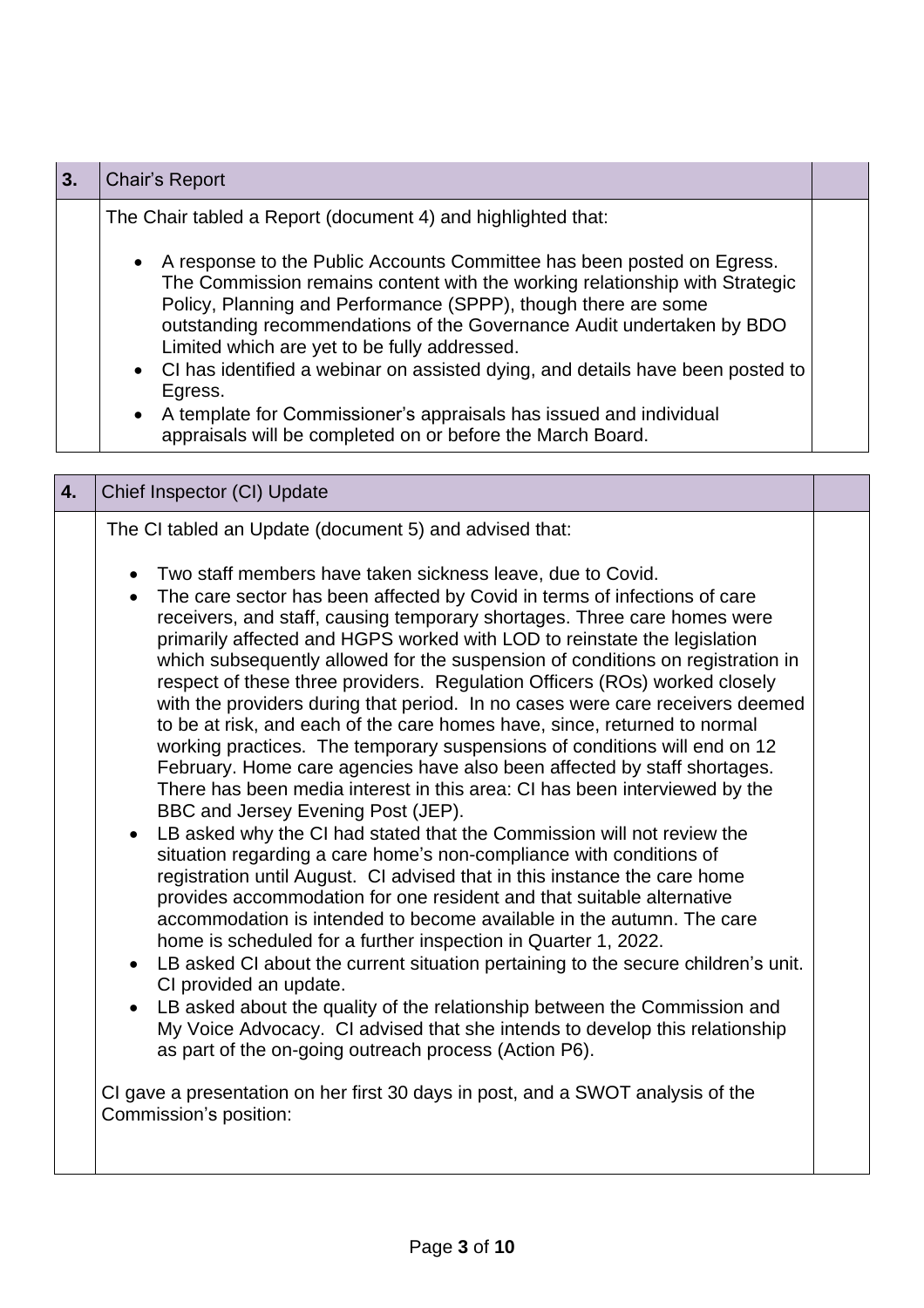| 3. | <b>Chair's Report</b>                                                                                                                                                                                                                                                                                                                                                                                                                                                                                                                                                                                                                                                                                                                                                                                                                                                                                                                                                                                                                                                                                                                                                                                                                                                                                                                                                                                                                                                                                                                                                                                                                                                                                                                                                                                                                                                                |  |
|----|--------------------------------------------------------------------------------------------------------------------------------------------------------------------------------------------------------------------------------------------------------------------------------------------------------------------------------------------------------------------------------------------------------------------------------------------------------------------------------------------------------------------------------------------------------------------------------------------------------------------------------------------------------------------------------------------------------------------------------------------------------------------------------------------------------------------------------------------------------------------------------------------------------------------------------------------------------------------------------------------------------------------------------------------------------------------------------------------------------------------------------------------------------------------------------------------------------------------------------------------------------------------------------------------------------------------------------------------------------------------------------------------------------------------------------------------------------------------------------------------------------------------------------------------------------------------------------------------------------------------------------------------------------------------------------------------------------------------------------------------------------------------------------------------------------------------------------------------------------------------------------------|--|
|    | The Chair tabled a Report (document 4) and highlighted that:<br>A response to the Public Accounts Committee has been posted on Egress.<br>The Commission remains content with the working relationship with Strategic<br>Policy, Planning and Performance (SPPP), though there are some<br>outstanding recommendations of the Governance Audit undertaken by BDO<br>Limited which are yet to be fully addressed.<br>CI has identified a webinar on assisted dying, and details have been posted to<br>Egress.<br>A template for Commissioner's appraisals has issued and individual<br>appraisals will be completed on or before the March Board.                                                                                                                                                                                                                                                                                                                                                                                                                                                                                                                                                                                                                                                                                                                                                                                                                                                                                                                                                                                                                                                                                                                                                                                                                                    |  |
| 4. | Chief Inspector (CI) Update                                                                                                                                                                                                                                                                                                                                                                                                                                                                                                                                                                                                                                                                                                                                                                                                                                                                                                                                                                                                                                                                                                                                                                                                                                                                                                                                                                                                                                                                                                                                                                                                                                                                                                                                                                                                                                                          |  |
|    | The CI tabled an Update (document 5) and advised that:<br>Two staff members have taken sickness leave, due to Covid.<br>The care sector has been affected by Covid in terms of infections of care<br>$\bullet$<br>receivers, and staff, causing temporary shortages. Three care homes were<br>primarily affected and HGPS worked with LOD to reinstate the legislation<br>which subsequently allowed for the suspension of conditions on registration in<br>respect of these three providers. Regulation Officers (ROs) worked closely<br>with the providers during that period. In no cases were care receivers deemed<br>to be at risk, and each of the care homes have, since, returned to normal<br>working practices. The temporary suspensions of conditions will end on 12<br>February. Home care agencies have also been affected by staff shortages.<br>There has been media interest in this area: CI has been interviewed by the<br>BBC and Jersey Evening Post (JEP).<br>LB asked why the CI had stated that the Commission will not review the<br>situation regarding a care home's non-compliance with conditions of<br>registration until August. CI advised that in this instance the care home<br>provides accommodation for one resident and that suitable alternative<br>accommodation is intended to become available in the autumn. The care<br>home is scheduled for a further inspection in Quarter 1, 2022.<br>LB asked CI about the current situation pertaining to the secure children's unit.<br>CI provided an update.<br>LB asked about the quality of the relationship between the Commission and<br>My Voice Advocacy. CI advised that she intends to develop this relationship<br>as part of the on-going outreach process (Action P6).<br>CI gave a presentation on her first 30 days in post, and a SWOT analysis of the<br>Commission's position: |  |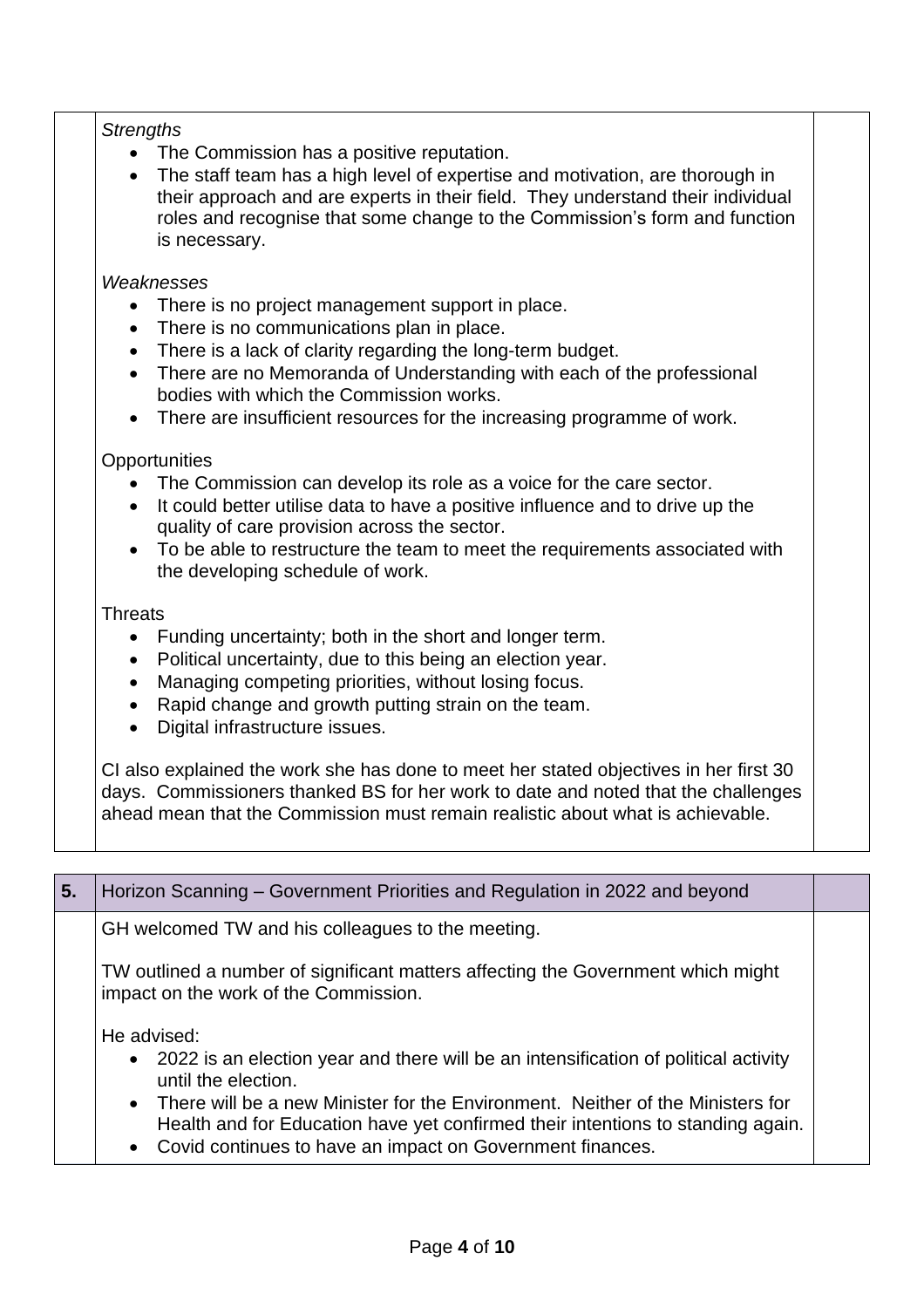#### *Strengths*

- The Commission has a positive reputation.
- The staff team has a high level of expertise and motivation, are thorough in their approach and are experts in their field. They understand their individual roles and recognise that some change to the Commission's form and function is necessary.

#### *Weaknesses*

- There is no project management support in place.
- There is no communications plan in place.
- There is a lack of clarity regarding the long-term budget.
- There are no Memoranda of Understanding with each of the professional bodies with which the Commission works.
- There are insufficient resources for the increasing programme of work.

#### **Opportunities**

- The Commission can develop its role as a voice for the care sector.
- It could better utilise data to have a positive influence and to drive up the quality of care provision across the sector.
- To be able to restructure the team to meet the requirements associated with the developing schedule of work.

#### **Threats**

- Funding uncertainty; both in the short and longer term.
- Political uncertainty, due to this being an election year.
- Managing competing priorities, without losing focus.
- Rapid change and growth putting strain on the team.
- Digital infrastructure issues.

CI also explained the work she has done to meet her stated objectives in her first 30 days. Commissioners thanked BS for her work to date and noted that the challenges ahead mean that the Commission must remain realistic about what is achievable.

| 5. | Horizon Scanning – Government Priorities and Regulation in 2022 and beyond                                                                                                                                                                                                                         |  |
|----|----------------------------------------------------------------------------------------------------------------------------------------------------------------------------------------------------------------------------------------------------------------------------------------------------|--|
|    | GH welcomed TW and his colleagues to the meeting.                                                                                                                                                                                                                                                  |  |
|    | TW outlined a number of significant matters affecting the Government which might<br>impact on the work of the Commission.                                                                                                                                                                          |  |
|    | He advised:<br>• 2022 is an election year and there will be an intensification of political activity<br>until the election.<br>• There will be a new Minister for the Environment. Neither of the Ministers for<br>Health and for Education have yet confirmed their intentions to standing again. |  |

• Covid continues to have an impact on Government finances.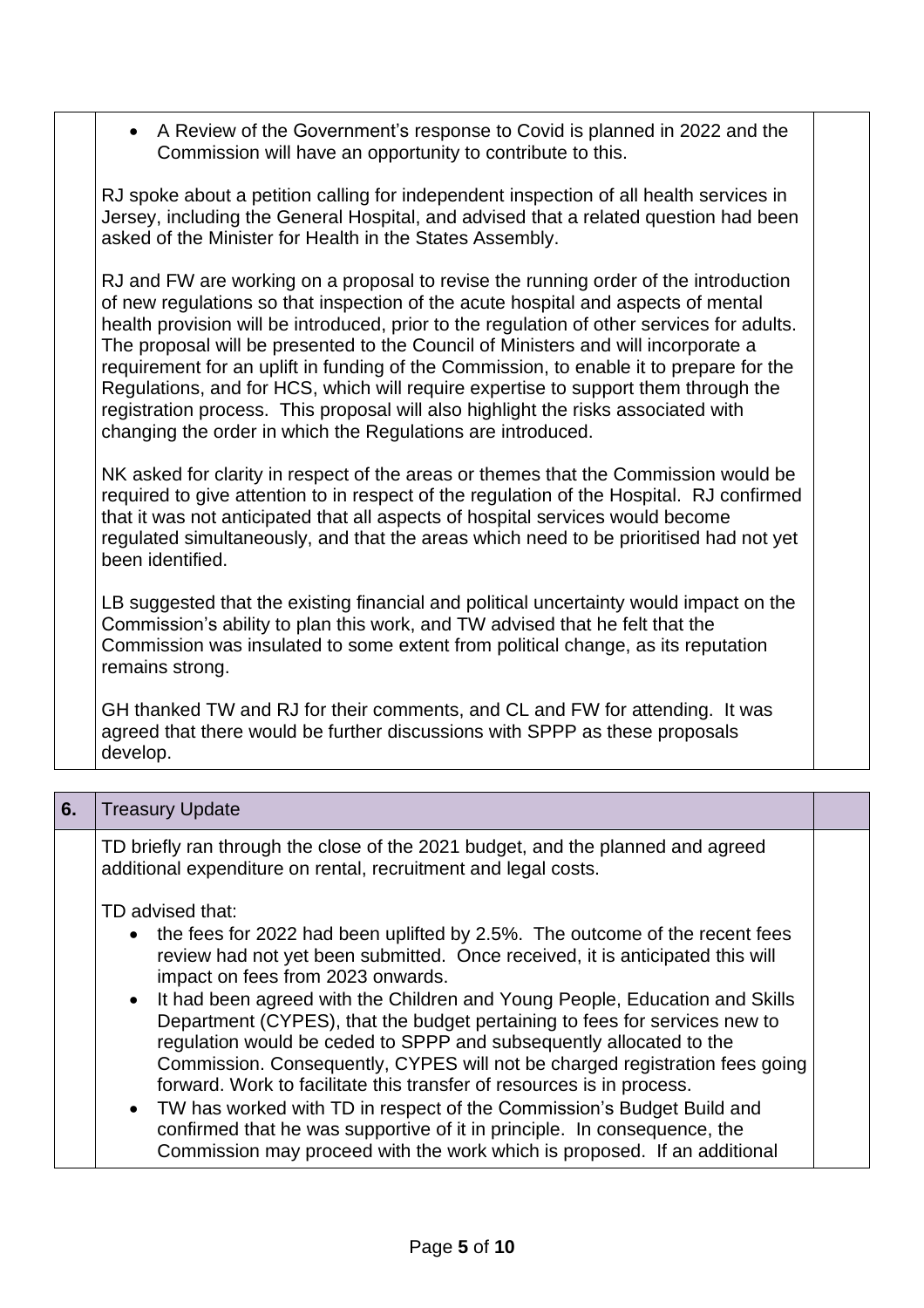• A Review of the Government's response to Covid is planned in 2022 and the Commission will have an opportunity to contribute to this.

RJ spoke about a petition calling for independent inspection of all health services in Jersey, including the General Hospital, and advised that a related question had been asked of the Minister for Health in the States Assembly.

RJ and FW are working on a proposal to revise the running order of the introduction of new regulations so that inspection of the acute hospital and aspects of mental health provision will be introduced, prior to the regulation of other services for adults. The proposal will be presented to the Council of Ministers and will incorporate a requirement for an uplift in funding of the Commission, to enable it to prepare for the Regulations, and for HCS, which will require expertise to support them through the registration process. This proposal will also highlight the risks associated with changing the order in which the Regulations are introduced.

NK asked for clarity in respect of the areas or themes that the Commission would be required to give attention to in respect of the regulation of the Hospital. RJ confirmed that it was not anticipated that all aspects of hospital services would become regulated simultaneously, and that the areas which need to be prioritised had not yet been identified.

LB suggested that the existing financial and political uncertainty would impact on the Commission's ability to plan this work, and TW advised that he felt that the Commission was insulated to some extent from political change, as its reputation remains strong.

GH thanked TW and RJ for their comments, and CL and FW for attending. It was agreed that there would be further discussions with SPPP as these proposals develop.

| 6. | <b>Treasury Update</b>                                                                                                                                                                                                                                                                                                                                                                                                                                                                                                                                                                                                                                                                                                                                                                                                                                   |  |
|----|----------------------------------------------------------------------------------------------------------------------------------------------------------------------------------------------------------------------------------------------------------------------------------------------------------------------------------------------------------------------------------------------------------------------------------------------------------------------------------------------------------------------------------------------------------------------------------------------------------------------------------------------------------------------------------------------------------------------------------------------------------------------------------------------------------------------------------------------------------|--|
|    | TD briefly ran through the close of the 2021 budget, and the planned and agreed<br>additional expenditure on rental, recruitment and legal costs.                                                                                                                                                                                                                                                                                                                                                                                                                                                                                                                                                                                                                                                                                                        |  |
|    | TD advised that:<br>• the fees for 2022 had been uplifted by 2.5%. The outcome of the recent fees<br>review had not yet been submitted. Once received, it is anticipated this will<br>impact on fees from 2023 onwards.<br>• It had been agreed with the Children and Young People, Education and Skills<br>Department (CYPES), that the budget pertaining to fees for services new to<br>regulation would be ceded to SPPP and subsequently allocated to the<br>Commission. Consequently, CYPES will not be charged registration fees going<br>forward. Work to facilitate this transfer of resources is in process.<br>• TW has worked with TD in respect of the Commission's Budget Build and<br>confirmed that he was supportive of it in principle. In consequence, the<br>Commission may proceed with the work which is proposed. If an additional |  |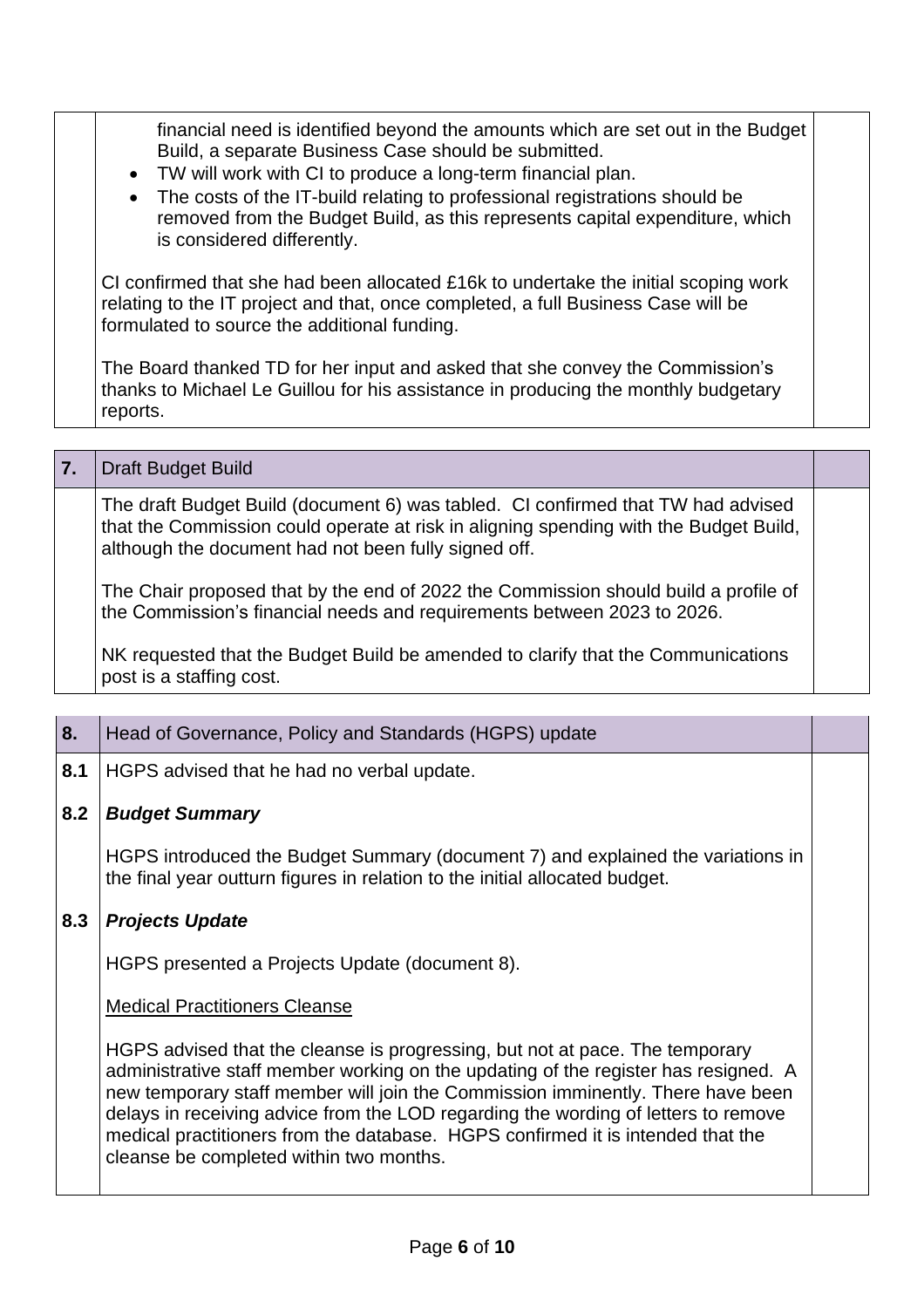| $\bullet$ | financial need is identified beyond the amounts which are set out in the Budget<br>Build, a separate Business Case should be submitted.<br>• TW will work with CI to produce a long-term financial plan.<br>The costs of the IT-build relating to professional registrations should be<br>removed from the Budget Build, as this represents capital expenditure, which<br>is considered differently. |
|-----------|------------------------------------------------------------------------------------------------------------------------------------------------------------------------------------------------------------------------------------------------------------------------------------------------------------------------------------------------------------------------------------------------------|
|           | CI confirmed that she had been allocated £16k to undertake the initial scoping work<br>relating to the IT project and that, once completed, a full Business Case will be<br>formulated to source the additional funding.                                                                                                                                                                             |
| reports.  | The Board thanked TD for her input and asked that she convey the Commission's<br>thanks to Michael Le Guillou for his assistance in producing the monthly budgetary                                                                                                                                                                                                                                  |

| 7. | <b>Draft Budget Build</b>                                                                                                                                                                                                         |  |
|----|-----------------------------------------------------------------------------------------------------------------------------------------------------------------------------------------------------------------------------------|--|
|    | The draft Budget Build (document 6) was tabled. CI confirmed that TW had advised<br>that the Commission could operate at risk in aligning spending with the Budget Build,<br>although the document had not been fully signed off. |  |
|    | The Chair proposed that by the end of 2022 the Commission should build a profile of<br>the Commission's financial needs and requirements between 2023 to 2026.                                                                    |  |
|    | NK requested that the Budget Build be amended to clarify that the Communications<br>post is a staffing cost.                                                                                                                      |  |

| 8.  | Head of Governance, Policy and Standards (HGPS) update                                                                                                                                                                                                                                                                                                                                                                                                                     |  |
|-----|----------------------------------------------------------------------------------------------------------------------------------------------------------------------------------------------------------------------------------------------------------------------------------------------------------------------------------------------------------------------------------------------------------------------------------------------------------------------------|--|
| 8.1 | HGPS advised that he had no verbal update.                                                                                                                                                                                                                                                                                                                                                                                                                                 |  |
| 8.2 | <b>Budget Summary</b>                                                                                                                                                                                                                                                                                                                                                                                                                                                      |  |
|     | HGPS introduced the Budget Summary (document 7) and explained the variations in<br>the final year outturn figures in relation to the initial allocated budget.                                                                                                                                                                                                                                                                                                             |  |
| 8.3 | <b>Projects Update</b>                                                                                                                                                                                                                                                                                                                                                                                                                                                     |  |
|     | HGPS presented a Projects Update (document 8).                                                                                                                                                                                                                                                                                                                                                                                                                             |  |
|     | <b>Medical Practitioners Cleanse</b>                                                                                                                                                                                                                                                                                                                                                                                                                                       |  |
|     | HGPS advised that the cleanse is progressing, but not at pace. The temporary<br>administrative staff member working on the updating of the register has resigned. A<br>new temporary staff member will join the Commission imminently. There have been<br>delays in receiving advice from the LOD regarding the wording of letters to remove<br>medical practitioners from the database. HGPS confirmed it is intended that the<br>cleanse be completed within two months. |  |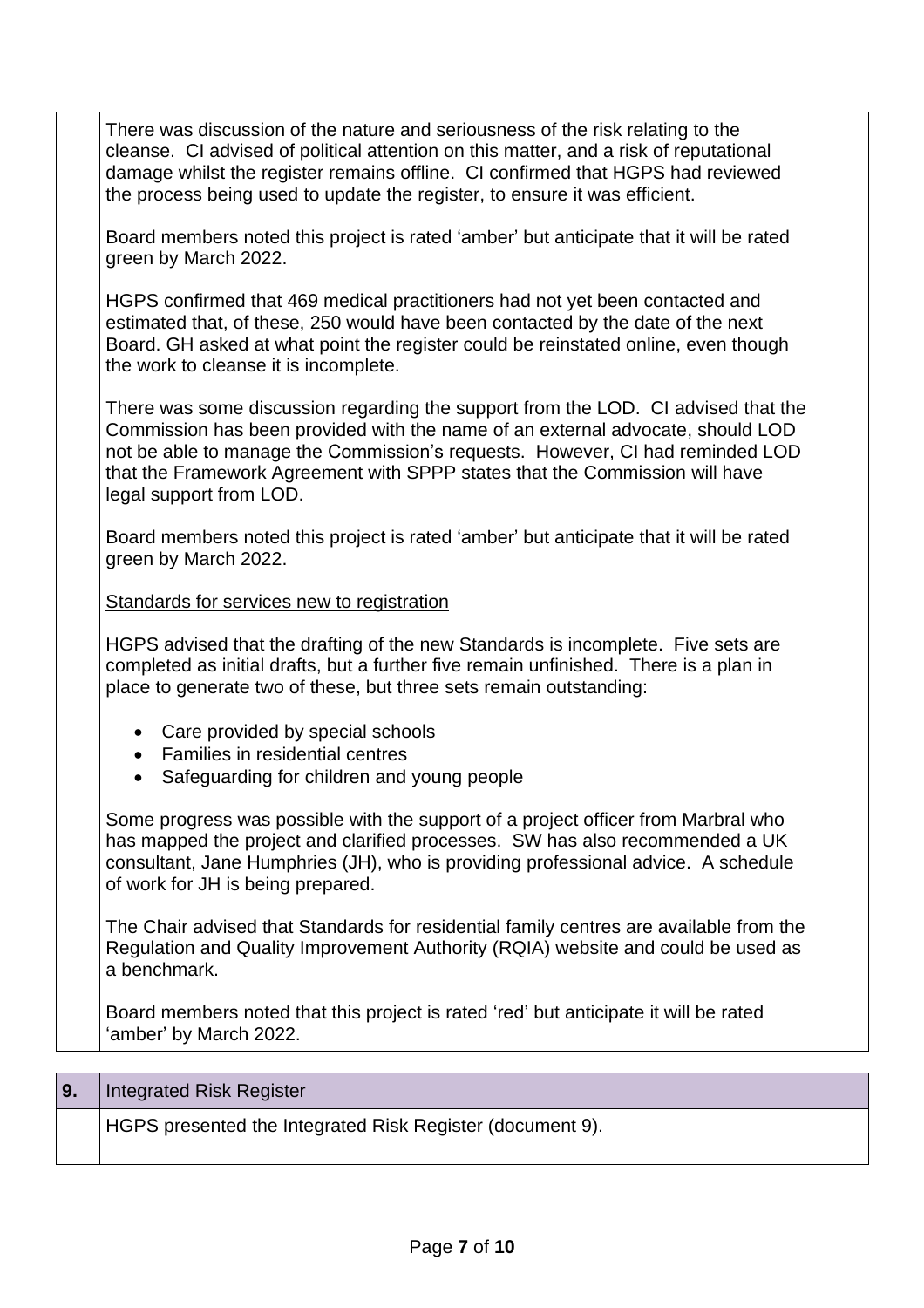| There was discussion of the nature and seriousness of the risk relating to the<br>cleanse. CI advised of political attention on this matter, and a risk of reputational<br>damage whilst the register remains offline. CI confirmed that HGPS had reviewed<br>the process being used to update the register, to ensure it was efficient.                       |  |
|----------------------------------------------------------------------------------------------------------------------------------------------------------------------------------------------------------------------------------------------------------------------------------------------------------------------------------------------------------------|--|
| Board members noted this project is rated 'amber' but anticipate that it will be rated<br>green by March 2022.                                                                                                                                                                                                                                                 |  |
| HGPS confirmed that 469 medical practitioners had not yet been contacted and<br>estimated that, of these, 250 would have been contacted by the date of the next<br>Board. GH asked at what point the register could be reinstated online, even though<br>the work to cleanse it is incomplete.                                                                 |  |
| There was some discussion regarding the support from the LOD. CI advised that the<br>Commission has been provided with the name of an external advocate, should LOD<br>not be able to manage the Commission's requests. However, CI had reminded LOD<br>that the Framework Agreement with SPPP states that the Commission will have<br>legal support from LOD. |  |
| Board members noted this project is rated 'amber' but anticipate that it will be rated<br>green by March 2022.                                                                                                                                                                                                                                                 |  |
| Standards for services new to registration                                                                                                                                                                                                                                                                                                                     |  |
| HGPS advised that the drafting of the new Standards is incomplete. Five sets are<br>completed as initial drafts, but a further five remain unfinished. There is a plan in<br>place to generate two of these, but three sets remain outstanding:                                                                                                                |  |
| • Care provided by special schools<br><b>Families in residential centres</b><br>Safeguarding for children and young people                                                                                                                                                                                                                                     |  |
| Some progress was possible with the support of a project officer from Marbral who<br>has mapped the project and clarified processes. SW has also recommended a UK<br>consultant, Jane Humphries (JH), who is providing professional advice. A schedule<br>of work for JH is being prepared.                                                                    |  |
| The Chair advised that Standards for residential family centres are available from the<br>Regulation and Quality Improvement Authority (RQIA) website and could be used as<br>a benchmark.                                                                                                                                                                     |  |
| Board members noted that this project is rated 'red' but anticipate it will be rated<br>'amber' by March 2022.                                                                                                                                                                                                                                                 |  |
|                                                                                                                                                                                                                                                                                                                                                                |  |
| Integrated Risk Register                                                                                                                                                                                                                                                                                                                                       |  |

| 9. | <b>Integrated Risk Register</b>                           |  |
|----|-----------------------------------------------------------|--|
|    | HGPS presented the Integrated Risk Register (document 9). |  |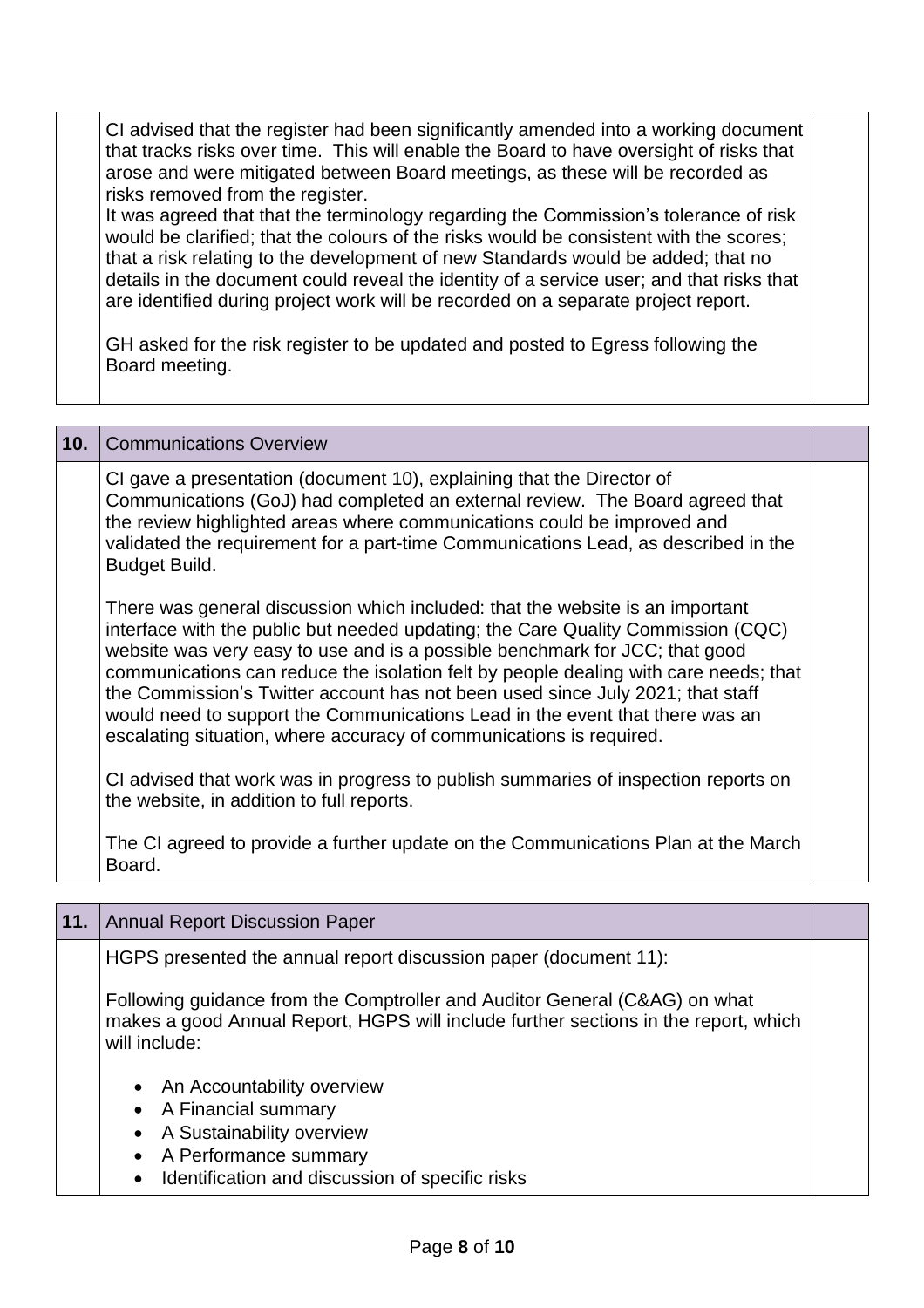CI advised that the register had been significantly amended into a working document that tracks risks over time. This will enable the Board to have oversight of risks that arose and were mitigated between Board meetings, as these will be recorded as risks removed from the register.

It was agreed that that the terminology regarding the Commission's tolerance of risk would be clarified; that the colours of the risks would be consistent with the scores; that a risk relating to the development of new Standards would be added; that no details in the document could reveal the identity of a service user; and that risks that are identified during project work will be recorded on a separate project report.

GH asked for the risk register to be updated and posted to Egress following the Board meeting.

| 10. | <b>Communications Overview</b>                                                                                                                                                                                                                                                                                                                                                                                                                                                                                                                                                    |  |
|-----|-----------------------------------------------------------------------------------------------------------------------------------------------------------------------------------------------------------------------------------------------------------------------------------------------------------------------------------------------------------------------------------------------------------------------------------------------------------------------------------------------------------------------------------------------------------------------------------|--|
|     | CI gave a presentation (document 10), explaining that the Director of<br>Communications (GoJ) had completed an external review. The Board agreed that<br>the review highlighted areas where communications could be improved and<br>validated the requirement for a part-time Communications Lead, as described in the<br>Budget Build.                                                                                                                                                                                                                                           |  |
|     | There was general discussion which included: that the website is an important<br>interface with the public but needed updating; the Care Quality Commission (CQC)<br>website was very easy to use and is a possible benchmark for JCC; that good<br>communications can reduce the isolation felt by people dealing with care needs; that<br>the Commission's Twitter account has not been used since July 2021; that staff<br>would need to support the Communications Lead in the event that there was an<br>escalating situation, where accuracy of communications is required. |  |
|     | CI advised that work was in progress to publish summaries of inspection reports on<br>the website, in addition to full reports.                                                                                                                                                                                                                                                                                                                                                                                                                                                   |  |
|     | The CI agreed to provide a further update on the Communications Plan at the March<br>Board.                                                                                                                                                                                                                                                                                                                                                                                                                                                                                       |  |

| 11. | <b>Annual Report Discussion Paper</b>                                                                                                                                                  |  |
|-----|----------------------------------------------------------------------------------------------------------------------------------------------------------------------------------------|--|
|     | HGPS presented the annual report discussion paper (document 11):                                                                                                                       |  |
|     | Following guidance from the Comptroller and Auditor General (C&AG) on what<br>makes a good Annual Report, HGPS will include further sections in the report, which<br>will include:     |  |
|     | An Accountability overview<br>• A Financial summary<br>A Sustainability overview<br>A Performance summary<br>$\bullet$<br>Identification and discussion of specific risks<br>$\bullet$ |  |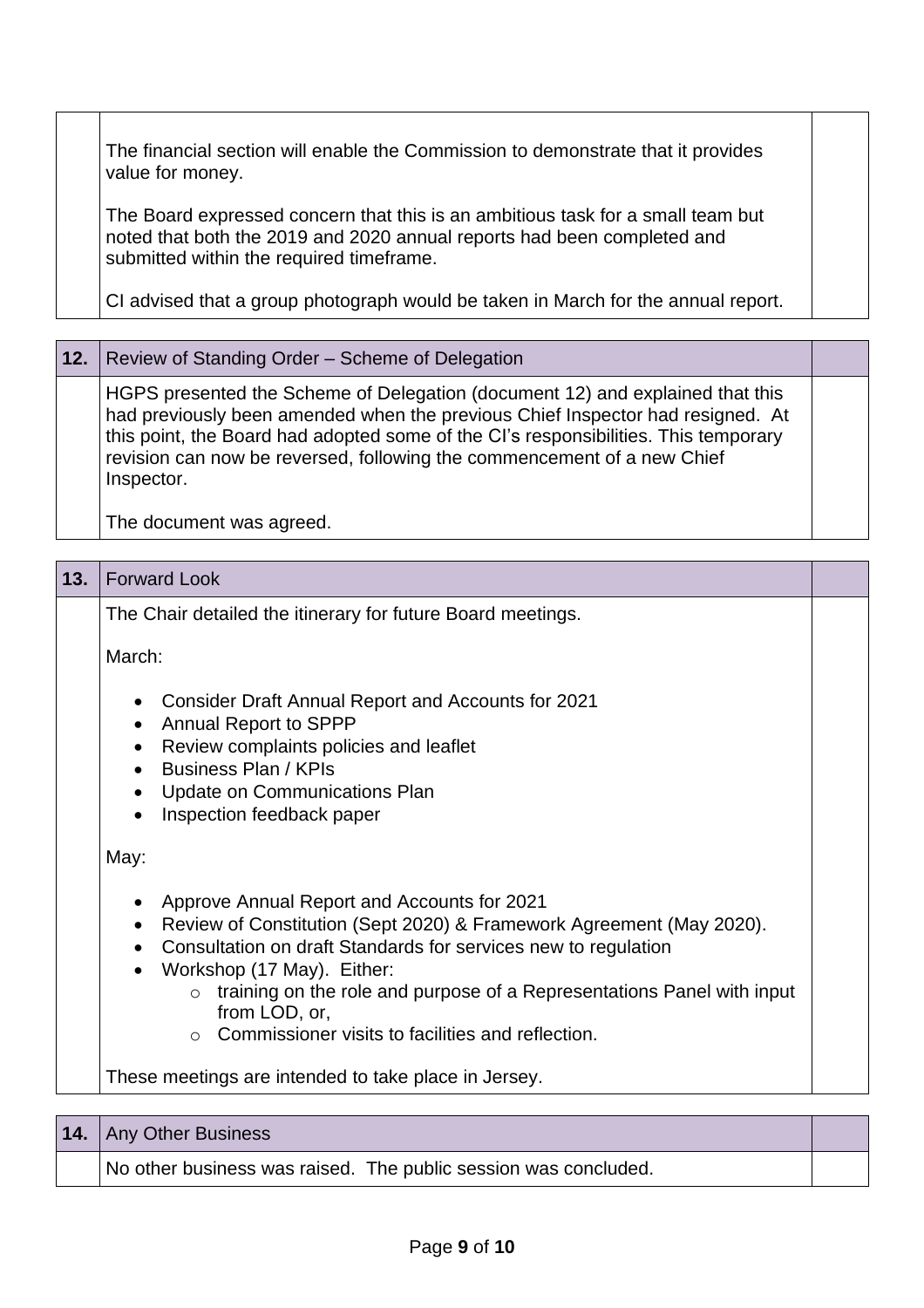The financial section will enable the Commission to demonstrate that it provides value for money.

The Board expressed concern that this is an ambitious task for a small team but noted that both the 2019 and 2020 annual reports had been completed and submitted within the required timeframe.

CI advised that a group photograph would be taken in March for the annual report.

**12.** Review of Standing Order – Scheme of Delegation

HGPS presented the Scheme of Delegation (document 12) and explained that this had previously been amended when the previous Chief Inspector had resigned. At this point, the Board had adopted some of the CI's responsibilities. This temporary revision can now be reversed, following the commencement of a new Chief Inspector.

The document was agreed.

| 13. | <b>Forward Look</b>                                                                                                                                                                                                                                                                                                    |  |  |
|-----|------------------------------------------------------------------------------------------------------------------------------------------------------------------------------------------------------------------------------------------------------------------------------------------------------------------------|--|--|
|     | The Chair detailed the itinerary for future Board meetings.                                                                                                                                                                                                                                                            |  |  |
|     | March:                                                                                                                                                                                                                                                                                                                 |  |  |
|     | <b>Consider Draft Annual Report and Accounts for 2021</b><br><b>Annual Report to SPPP</b><br>$\bullet$<br>Review complaints policies and leaflet<br>$\bullet$<br><b>Business Plan / KPIs</b><br>Update on Communications Plan<br>Inspection feedback paper                                                             |  |  |
|     | May:                                                                                                                                                                                                                                                                                                                   |  |  |
|     | Approve Annual Report and Accounts for 2021<br>Review of Constitution (Sept 2020) & Framework Agreement (May 2020).<br>Consultation on draft Standards for services new to regulation<br>Workshop (17 May). Either:<br>$\circ$ training on the role and purpose of a Representations Panel with input<br>from LOD, or, |  |  |
|     | $\circ$ Commissioner visits to facilities and reflection.<br>These meetings are intended to take place in Jersey.                                                                                                                                                                                                      |  |  |
| 14. | Any Other Business                                                                                                                                                                                                                                                                                                     |  |  |

No other business was raised. The public session was concluded.